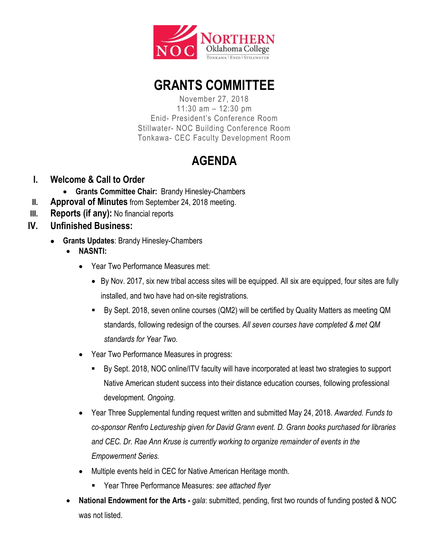

## **GRANTS COMMITTEE**

November 27, 2018 11:30 am – 12:30 pm Enid- President's Conference Room Stillwater- NOC Building Conference Room Tonkawa- CEC Faculty Development Room

## **AGENDA**

- **I. Welcome & Call to Order**
	- **Grants Committee Chair:** Brandy Hinesley-Chambers
- **II. Approval of Minutes** from September 24, 2018 meeting.
- **III. Reports (if any):** No financial reports
- **IV. Unfinished Business:**
	- **Grants Updates**: Brandy Hinesley-Chambers
		- **NASNTI:**
			- Year Two Performance Measures met:
				- By Nov. 2017, six new tribal access sites will be equipped. All six are equipped, four sites are fully installed, and two have had on-site registrations.
				- By Sept. 2018, seven online courses (QM2) will be certified by Quality Matters as meeting QM standards, following redesign of the courses. *All seven courses have completed & met QM standards for Year Two.*
			- Year Two Performance Measures in progress:
				- By Sept. 2018, NOC online/ITV faculty will have incorporated at least two strategies to support Native American student success into their distance education courses, following professional development. *Ongoing.*
			- Year Three Supplemental funding request written and submitted May 24, 2018. *Awarded. Funds to co-sponsor Renfro Lectureship given for David Grann event. D. Grann books purchased for libraries and CEC. Dr. Rae Ann Kruse is currently working to organize remainder of events in the Empowerment Series.*
			- Multiple events held in CEC for Native American Heritage month.
				- Year Three Performance Measures: *see attached flyer*
		- **National Endowment for the Arts -** *gala*: submitted, pending, first two rounds of funding posted & NOC was not listed.